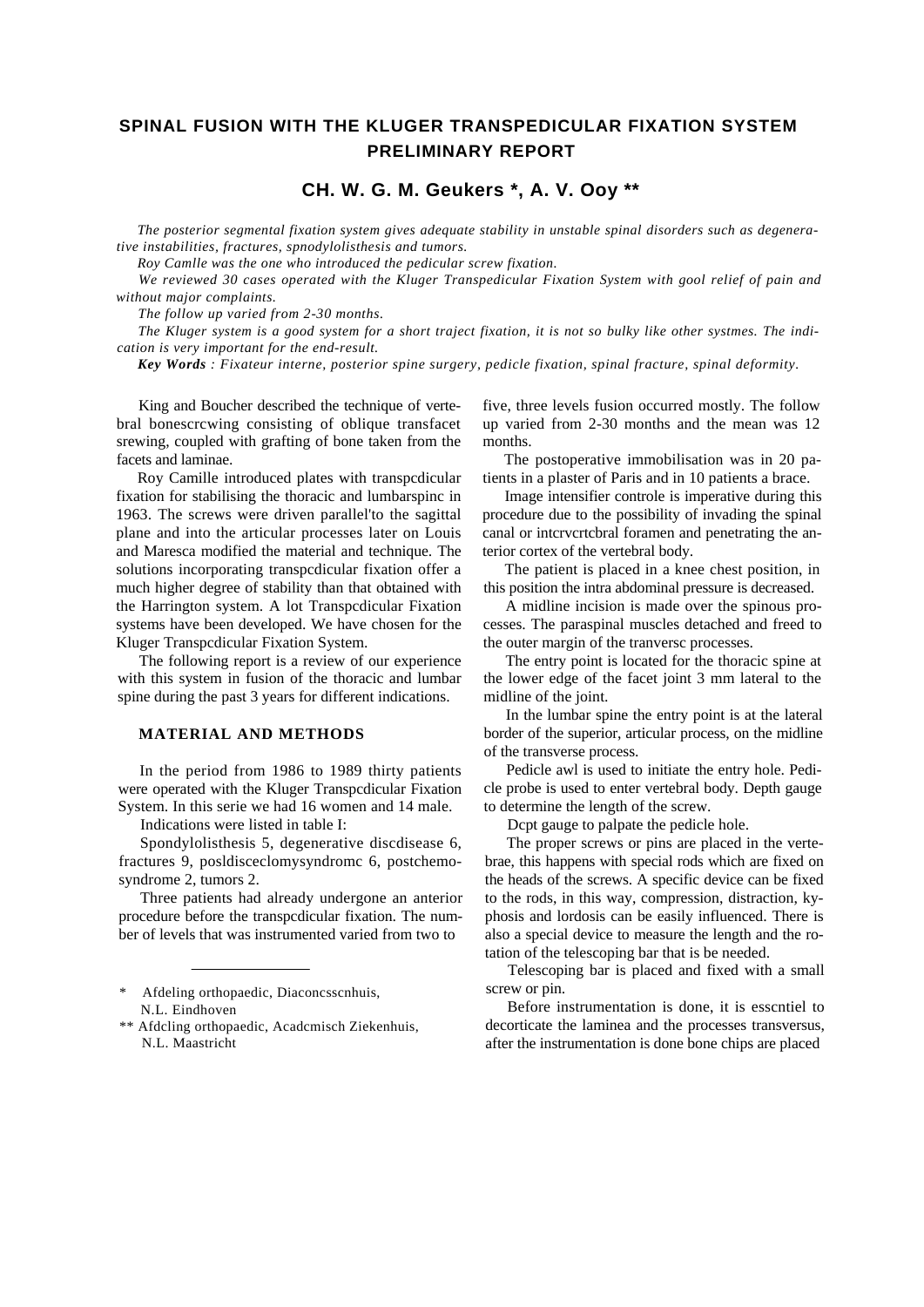# **SPINAL FUSION WITH THE KLUGER TRANSPEDICULAR FIXATION SYSTEM PRELIMINARY REPORT**

# **CH. W. G. M. Geukers \*, A. V. Ooy \*\***

*The posterior segmental fixation system gives adequate stability in unstable spinal disorders such as degenerative instabilities, fractures, spnodylolisthesis and tumors.*

*Roy Camlle was the one who introduced the pedicular screw fixation.*

*We reviewed 30 cases operated with the Kluger Transpedicular Fixation System with gool relief of pain and without major complaints.*

*The follow up varied from 2-30 months.*

*The Kluger system is a good system for a short traject fixation, it is not so bulky like other systmes. The indication is very important for the end-result.*

*Key Words : Fixateur interne, posterior spine surgery, pedicle fixation, spinal fracture, spinal deformity.*

King and Boucher described the technique of vertebral bonescrcwing consisting of oblique transfacet srewing, coupled with grafting of bone taken from the facets and laminae.

Roy Camille introduced plates with transpcdicular fixation for stabilising the thoracic and lumbarspinc in 1963. The screws were driven parallel'to the sagittal plane and into the articular processes later on Louis and Maresca modified the material and technique. The solutions incorporating transpcdicular fixation offer a much higher degree of stability than that obtained with the Harrington system. A lot Transpcdicular Fixation systems have been developed. We have chosen for the Kluger Transpcdicular Fixation System.

The following report is a review of our experience with this system in fusion of the thoracic and lumbar spine during the past 3 years for different indications.

## **MATERIAL AND METHODS**

In the period from 1986 to 1989 thirty patients were operated with the Kluger Transpcdicular Fixation System. In this serie we had 16 women and 14 male.

Indications were listed in table I:

Spondylolisthesis 5, degenerative discdisease 6, fractures 9, posldisceclomysyndromc 6, postchemosyndrome 2, tumors 2.

Three patients had already undergone an anterior procedure before the transpcdicular fixation. The number of levels that was instrumented varied from two to

five, three levels fusion occurred mostly. The follow up varied from 2-30 months and the mean was 12 months.

The postoperative immobilisation was in 20 patients in a plaster of Paris and in 10 patients a brace.

Image intensifier controle is imperative during this procedure due to the possibility of invading the spinal canal or intcrvcrtcbral foramen and penetrating the anterior cortex of the vertebral body.

The patient is placed in a knee chest position, in this position the intra abdominal pressure is decreased.

A midline incision is made over the spinous processes. The paraspinal muscles detached and freed to the outer margin of the tranversc processes.

The entry point is located for the thoracic spine at the lower edge of the facet joint 3 mm lateral to the midline of the joint.

In the lumbar spine the entry point is at the lateral border of the superior, articular process, on the midline of the transverse process.

Pedicle awl is used to initiate the entry hole. Pedicle probe is used to enter vertebral body. Depth gauge to determine the length of the screw.

Dcpt gauge to palpate the pedicle hole.

The proper screws or pins are placed in the vertebrae, this happens with special rods which are fixed on the heads of the screws. A specific device can be fixed to the rods, in this way, compression, distraction, kyphosis and lordosis can be easily influenced. There is also a special device to measure the length and the rotation of the telescoping bar that is be needed.

Telescoping bar is placed and fixed with a small screw or pin.

Before instrumentation is done, it is esscntiel to decorticate the laminea and the processes transversus, after the instrumentation is done bone chips are placed

Afdeling orthopaedic, Diaconcsscnhuis, N.L. Eindhoven

<sup>\*\*</sup> Afdcling orthopaedic, Acadcmisch Ziekenhuis, N.L. Maastricht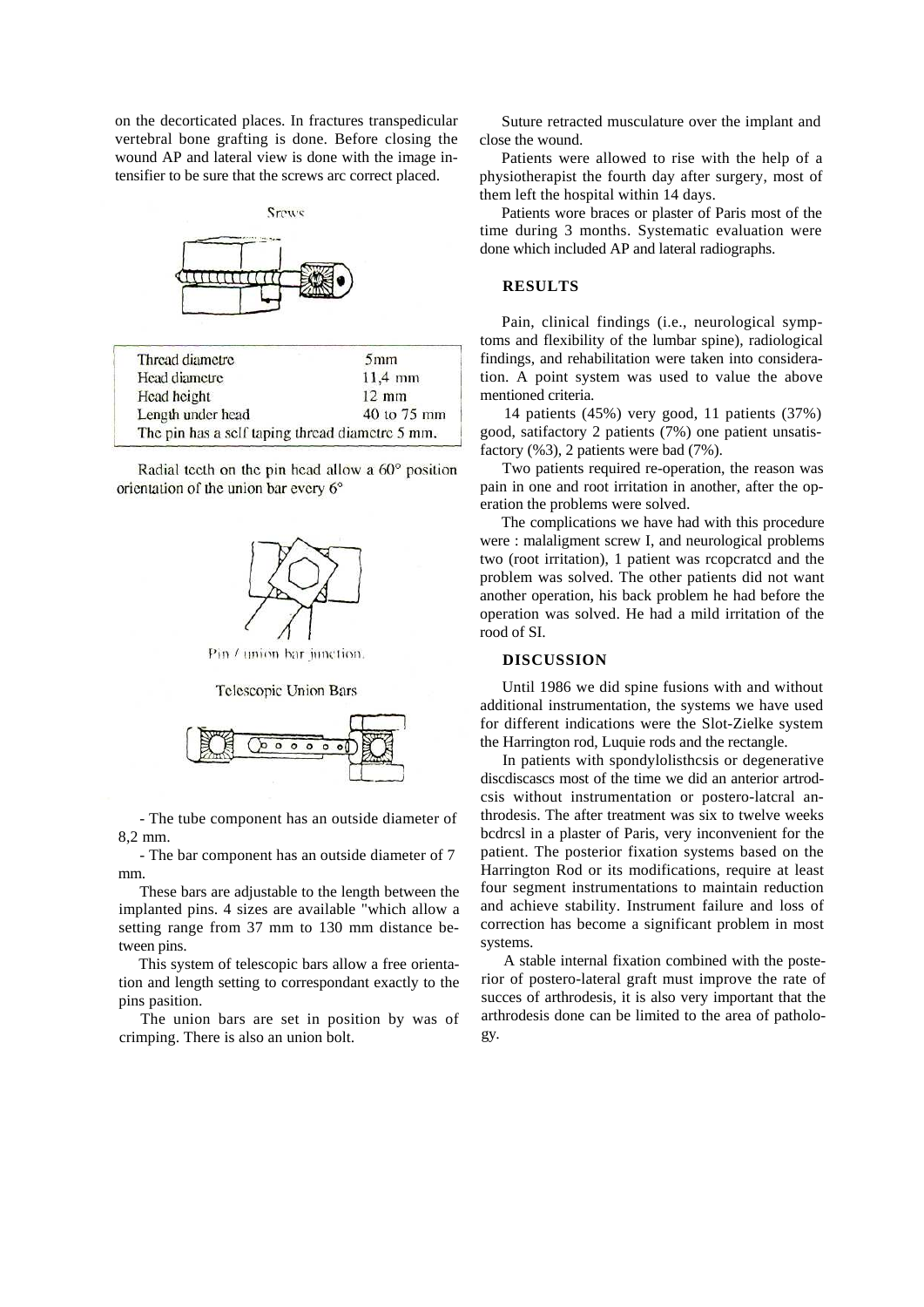on the decorticated places. In fractures transpedicular vertebral bone grafting is done. Before closing the wound AP and lateral view is done with the image intensifier to be sure that the screws arc correct placed.

Srews

| Thread diametre                                 | 5 <sub>mm</sub> |
|-------------------------------------------------|-----------------|
| Head diametre                                   | $11,4$ mm       |
| Head height                                     | $12 \text{ mm}$ |
| Length under head                               | 40 to 75 mm     |
| The pin has a self taping thread diametre 5 mm. |                 |

Radial tecth on the pin head allow a 60° position orientation of the union bar every 6°



Pin / union bar innetion

**Telescopic Union Bars** 



- The tube component has an outside diameter of 8,2 mm.

- The bar component has an outside diameter of 7 mm.

These bars are adjustable to the length between the implanted pins. 4 sizes are available "which allow a setting range from 37 mm to 130 mm distance between pins.

This system of telescopic bars allow a free orientation and length setting to correspondant exactly to the pins pasition.

The union bars are set in position by was of crimping. There is also an union bolt.

Suture retracted musculature over the implant and close the wound.

Patients were allowed to rise with the help of a physiotherapist the fourth day after surgery, most of them left the hospital within 14 days.

Patients wore braces or plaster of Paris most of the time during 3 months. Systematic evaluation were done which included AP and lateral radiographs.

#### **RESULTS**

Pain, clinical findings (i.e., neurological symptoms and flexibility of the lumbar spine), radiological findings, and rehabilitation were taken into consideration. A point system was used to value the above mentioned criteria.

14 patients (45%) very good, 11 patients (37%) good, satifactory 2 patients (7%) one patient unsatisfactory (%3), 2 patients were bad (7%).

Two patients required re-operation, the reason was pain in one and root irritation in another, after the operation the problems were solved.

The complications we have had with this procedure were : malaligment screw I, and neurological problems two (root irritation), 1 patient was rcopcratcd and the problem was solved. The other patients did not want another operation, his back problem he had before the operation was solved. He had a mild irritation of the rood of SI.

## **DISCUSSION**

Until 1986 we did spine fusions with and without additional instrumentation, the systems we have used for different indications were the Slot-Zielke system the Harrington rod, Luquie rods and the rectangle.

In patients with spondylolisthcsis or degenerative discdiscascs most of the time we did an anterior artrodcsis without instrumentation or postero-latcral anthrodesis. The after treatment was six to twelve weeks bcdrcsl in a plaster of Paris, very inconvenient for the patient. The posterior fixation systems based on the Harrington Rod or its modifications, require at least four segment instrumentations to maintain reduction and achieve stability. Instrument failure and loss of correction has become a significant problem in most systems.

A stable internal fixation combined with the posterior of postero-lateral graft must improve the rate of succes of arthrodesis, it is also very important that the arthrodesis done can be limited to the area of pathology.